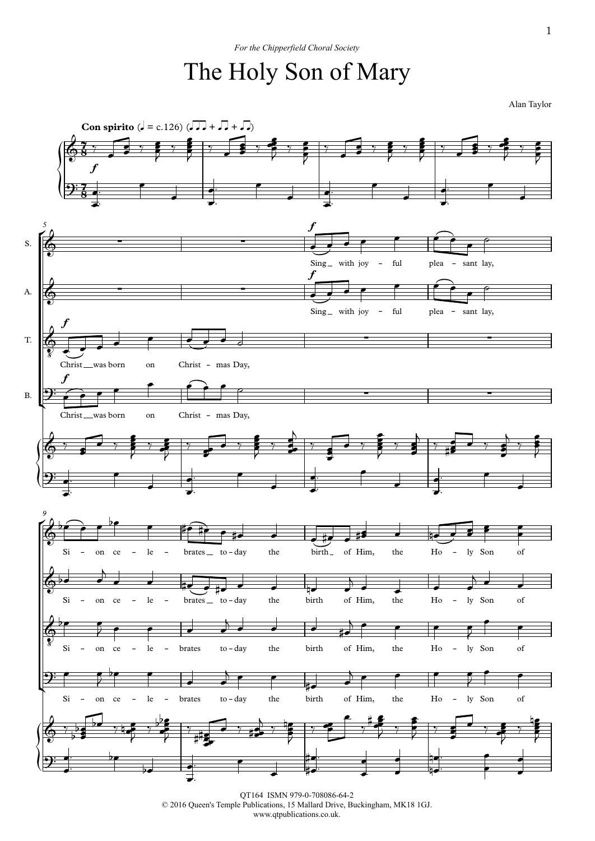## For the Chipperfield Choral Society<br>The Holy Son of Mary

 ${\mathbf \bigg\vert}$  $\overline{P}$  $\mathfrak{p}$  $\sqrt{\frac{2}{2}}$  $\bigcirc$  $\downarrow$  $\sqrt{\frac{2}{2}}$ **Con spirito**  $(J = c.126)$   $(J, J + J, J + J)$ *5* S. A. T. B. *9*  $7, 7$  $\frac{7}{8}$   $\frac{1}{2}$  $\frac{7}{2}$  $\frac{7}{8}$  .  $68'$ ,  $27$  $\boldsymbol{f}$  $9:7$  $\&$   $\qquad$   $\qquad$   $\qquad$   $\qquad$   $\qquad$   $\qquad$   $\qquad$   $\qquad$   $\qquad$   $\qquad$   $\qquad$   $\qquad$   $\qquad$   $\qquad$   $\qquad$   $\qquad$   $\qquad$   $\qquad$   $\qquad$   $\qquad$   $\qquad$   $\qquad$   $\qquad$   $\qquad$   $\qquad$   $\qquad$   $\qquad$   $\qquad$   $\qquad$   $\qquad$   $\qquad$   $\qquad$   $\qquad$   $\qquad$   $\qquad$   $\qquad$  Sing<sub>-</sub> with joy  $\boldsymbol{f}$ - ful plea - sant lay,  $\phi$   $\qquad$   $\qquad$   $\qquad$   $\qquad$   $\qquad$   $\qquad$   $\qquad$   $\qquad$   $\qquad$   $\qquad$   $\qquad$   $\qquad$   $\qquad$   $\qquad$   $\qquad$   $\qquad$   $\qquad$   $\qquad$   $\qquad$   $\qquad$   $\qquad$   $\qquad$   $\qquad$   $\qquad$   $\qquad$   $\qquad$   $\qquad$   $\qquad$   $\qquad$   $\qquad$   $\qquad$   $\qquad$   $\qquad$   $\qquad$   $\qquad$   $\qquad$  Sing<sub>-</sub> with joy f - ful plea - sant lay,  $\circ$   $\Box$ Christ\_was born  $\boldsymbol{f}$ on Christ - mas Day, ∑ ∑  $9:$   $\bigcap$   $\bigcap$ Christ\_was born  $\boldsymbol{f}$ <u>nas born on</u> Christ − mas Day,  $\phi$  ,  $\rightarrow$  ,  $\rightarrow$  $\Theta$ :  $\begin{array}{c} \circ \\[-1.2mm] \circ \end{array}$ Si – on ce – le – brates to - day the birth of Him, the Ho – ly Son of  $\phi$  be a set of  $\phi$ Si  $-$  on ce  $-$  le  $-$  brates to  $-$  day the birth of Him, the Ho  $-$  ly Son of  $\begin{array}{c} \bullet \end{array}$  $\frac{1}{8}$  Si – on ce – le – brates to – day the birth of Him, the Ho – ly Son of  $\Theta$ :  $\bullet$   $\bullet$   $\bullet$   $\bullet$ Si – on ce – le – brates to-day the birth of Him, the Ho – ly Son of  $6,7,9$  $\Theta$ :  $\bullet$  be the set of  $\bullet$  $\frac{1}{2}$   $\frac{1}{2}$   $\frac{1}{2}$   $\frac{1}{2}$   $\frac{1}{2}$  $\frac{1}{2}$   $\frac{1}{2}$   $\frac{1}{2}$   $\frac{1}{2}$  $\frac{1}{2}$   $\frac{1}{2}$   $\frac{1}{2}$   $\frac{1}{2}$   $\frac{1}{2}$   $\frac{1}{2}$  $\overline{\phantom{a}}$  $\overline{\phantom{a}}$  $\frac{1}{2}$   $\frac{1}{2}$   $\frac{1}{2}$   $\frac{1}{2}$   $\frac{1}{2}$   $\frac{1}{2}$  $\nabla$   $\frac{1}{2}$   $\frac{1}{2}$  $\ddot{\bullet}$  ; :  $\overline{2}$   $\overline{5}$  $y \in y$  $\frac{1}{2}$  $\frac{1}{2}$  $\sim$  $\frac{1}{2}$   $\frac{1}{2}$   $\frac{1}{2}$   $\frac{1}{2}$   $\frac{1}{2}$  $\frac{1}{2}$   $\frac{1}{2}$   $\frac{1}{2}$   $\frac{1}{2}$  $\frac{1}{2}$  ,  $\frac{1}{2}$  ,  $\frac{1}{2}$  ,  $\frac{1}{2}$  $\overline{\phantom{a}}$  $\frac{1}{2}$   $\frac{1}{2}$ **P**  $\frac{1}{2}$   $\frac{1}{2}$   $\frac{1}{2}$   $\frac{1}{2}$   $\frac{1}{2}$   $\frac{1}{2}$  $\nabla$   $\frac{1}{2}$   $\frac{1}{2}$  $\ddot{\bullet}$  ; :  $\overline{2}$   $\overline{5}$  $\gamma$  e <del>c</del> e de la companya de la companya de la companya de la companya de la companya de la companya de la companya de<br>Desenvolver de la companya de la companya de la companya de la companya de la companya de la companya de la co  $\overline{\phantom{a}}$ œ  $\overline{\phantom{a}}$ .<br>.<br>. .  $\qquad \qquad$  $\frac{1}{2}$  $\overrightarrow{e}$ .  $\overline{\phantom{a}}$ .<br>.<br>. . œ  $\overline{\phantom{a}}$ œ  $\overline{\phantom{a}}$ .<br>.<br>. .  $\qquad \qquad$  $\frac{1}{2}$  $\overline{\bullet}$ .  $\overline{\phantom{a}}$ .<br>.<br>. . œ  $\overline{\phantom{a}}$  $\overline{C}$  $\overrightarrow{e}$  $\bullet$   $\circ$  $\overline{e}$  $\epsilon$   $\epsilon$  $e^{\theta}$  $\epsilon$   $\epsilon$   $\epsilon$   $\epsilon$  $\overline{\phantom{a}}$  $\bullet$   $\bullet$   $\bullet$   $\bullet$   $\bullet$  $\epsilon$  e e  $\epsilon$  $\overline{\phantom{a}}$  $\epsilon$   $\epsilon$   $\epsilon$   $\epsilon$  $\frac{1}{2}$  $1, 1, 2$  $\rightarrow$  $\frac{1}{2}$   $\frac{1}{2}$ **e** 7,  $\overline{y}$   $\overline{y}$  $\frac{1}{2}$  e  $\frac{1}{2}$  $\rightarrow$   $\rightarrow$   $\rightarrow$  $\frac{1}{2}$   $\frac{1}{2}$  $\overline{\phantom{a}}$  $\frac{e}{2}$   $\frac{e}{2}$   $\frac{e}{2}$  $\frac{e}{2}$  , , ,  $\frac{1}{2}$   $\frac{1}{2}$  $\frac{1}{2}$  $\frac{1}{2}$  $\frac{\bullet}{\bullet}$  $\frac{1}{2}$   $\frac{1}{2}$   $\frac{1}{2}$   $\frac{1}{2}$  $\frac{1}{2}$  $\overline{\phantom{a}}$  $\frac{1}{2}$   $\frac{1}{2}$   $\frac{1}{2}$  $\bullet$   $\rightarrow$   $\bullet$  $\overline{)}$  $\frac{1}{2}$  e  $\frac{1}{2}$  e  $\frac{1}{2}$  e  $\frac{1}{2}$  e  $\frac{1}{2}$  e  $\frac{1}{2}$  e  $\frac{1}{2}$  e  $\frac{1}{2}$  e  $\frac{1}{2}$  e  $\frac{1}{2}$  e  $\frac{1}{2}$  e  $\frac{1}{2}$  e  $\frac{1}{2}$  e  $\frac{1}{2}$  e  $\frac{1}{2}$  e  $\frac{1}{2}$  e  $\frac{1}{2}$  e  $\frac{1}{2}$  e  $\frac{1$  $\overline{\cdot}$  $\frac{e}{12}$   $\frac{1}{2}$   $\frac{1}{2}$   $\frac{1}{2}$  $\frac{1}{2}$   $\frac{1}{2}$   $\frac{1}{2}$  $\frac{1}{7}$ e<sub>s</sub>  $\mathcal{F}$ œ  $\overline{\phantom{a}}$ . . <sup>œ</sup>  $\frac{1}{\epsilon}$  $\overline{\bullet}$ . œ . . where  $\overline{e}$ œ œ œ .  $\qquad \qquad \bullet$  $\bullet$  $\overline{\bullet}$ .  $\bullet$ . . where  $\overline{e}$  $\overline{\phantom{a}}$  $\theta$   $\theta$   $\theta$   $\theta$ be e #e#e e #e e #e e #e e #e e  $\mathbb{R}$  expansion of  $\mathbb{R}$  expansion  $\mathbb{R}$  $\bullet$   $\bullet$   $\bullet$   $\bullet$  $\epsilon$ be  $\theta$   $\theta$  $j \leftrightarrow j$   $j \leftrightarrow j$ œ œ nœ œ  $j \rightarrow j$  $\overrightarrow{e}$  $\rightarrow$ be  $\epsilon$   $\epsilon$ J œ œ œ œ  $j \rightarrow i$  $\rightarrow$  e e e e e  $\circ$   $\circ$  $\overline{\phantom{a}}$ œ œ  $\sum$  $b$ e e $\qquad$  $\overrightarrow{e}$  $\rightarrow$   $\bullet$   $\rightarrow$   $\rightarrow$ #œ  $rac{1}{2}$ j œ œ œ œ  $\frac{1}{2}$   $\frac{1}{2}$   $\frac{1}{2}$  $\frac{1}{2}$   $\frac{1}{2}$   $\frac{1}{2}$   $\frac{1}{2}$   $\frac{1}{2}$  $\frac{bd}{b}$  $\frac{1}{2}$  $b$ e $\frac{1}{2}$  $y \frac{1}{2}$ e  $y \frac{1}{2}$ e  $\frac{1}{2}$  $\overline{y}$  $y \rightarrow 2$  $\frac{1}{2}$  $\overline{\mathbf{B}}$  $\frac{1}{2}$ **Denote the**  $\frac{1}{2}$   $\frac{1}{2}$   $\frac{1}{2}$ e de la #  $\#$   $\frac{1}{2}$   $\frac{1}{2}$   $\frac{1}{2}$   $\frac{1}{2}$   $\frac{1}{2}$   $\frac{1}{2}$   $\frac{1}{2}$  $\frac{1}{2}$  $\frac{1}{2}$  %  $\frac{1}{2}$  %  $\frac{1}{2}$  ,  $\frac{1}{2}$  $\frac{1}{2}$  $\overline{\phantom{a}}$  $\frac{e}{y}$   $\frac{1}{y}$  $\epsilon$  ,  $\frac{1}{2}$ **∈** # <del>€</del>  $\frac{1}{7}$   $\frac{2}{7}$   $\frac{2}{7}$   $\frac{2}{7}$  $\frac{1}{2}$ ,  $\frac{1}{2}$ #  $\rightarrow$   $\rightarrow$   $\rightarrow$  $\frac{1}{2}$  e  $\frac{1}{2}$  $\frac{1}{2}$  $\frac{1}{2}$  $\frac{1}{2}$   $\frac{1}{2}$   $\frac{1}{2}$  $\bullet$   $\bullet$   $\bullet$  $\frac{1}{2}$  $\frac{1}{2}$   $\frac{1}{2}$  $\frac{1}{2}$   $\frac{1}{2}$  $\nabla$  $\frac{1}{7}$  $\frac{1}{2}$  $\overline{y}$  $\bullet$ e: be .  $\cdot$  be  $\qquad \qquad$  $\overline{\mathbf{e}}$  $\frac{1}{\sigma}$ . œ . .  $\qquad \qquad$ **e** ‡e  $\frac{1}{\sqrt{2}}$ #œ  $\frac{1}{\epsilon}$  .  $\frac{1}{\epsilon}$ .  $\overline{a}$  $\overline{\phantom{a}}$ <del>。</del> œ  $\overline{\phantom{a}}$ nœ <u>n</u><br>10. mars 1  $\overrightarrow{e}$  $\qquad \qquad$  $\bullet$ 

> QT164 ISMN 979-0-708086-64-2 © <sup>2016</sup> Queen's Temple Publications, <sup>15</sup> Mallard Drive, Buckingham, MK18 1GJ. www.qtpublications.co.uk.

Alan Taylor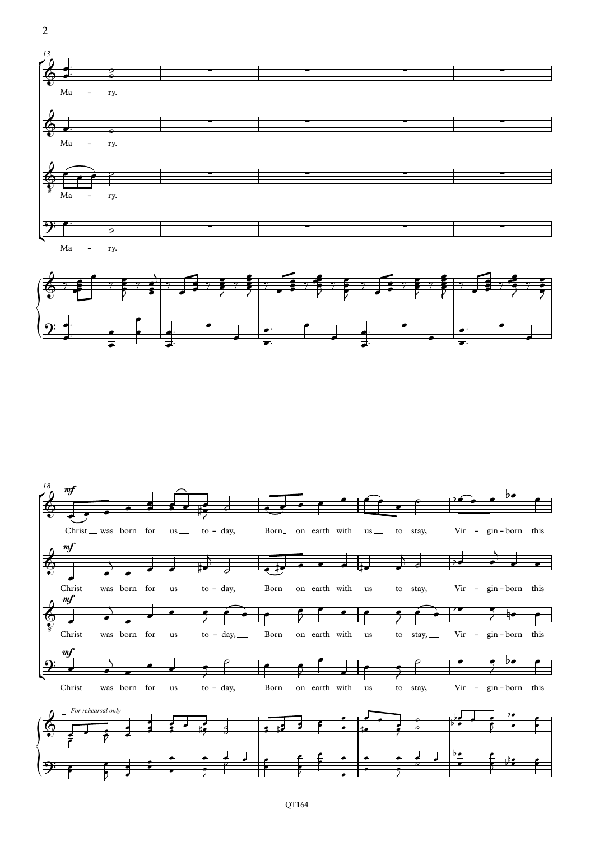

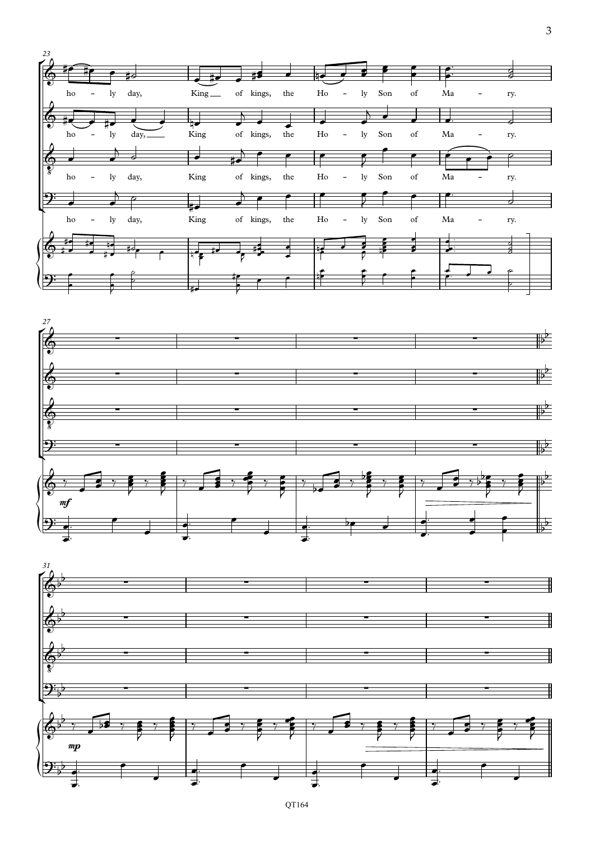